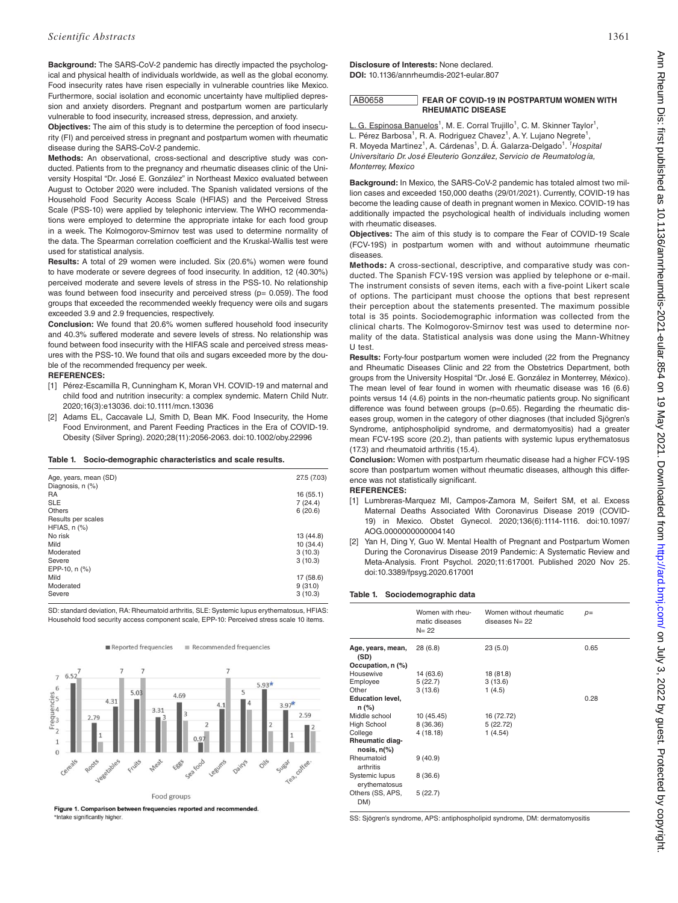**Background:** The SARS-CoV-2 pandemic has directly impacted the psychological and physical health of individuals worldwide, as well as the global economy. Food insecurity rates have risen especially in vulnerable countries like Mexico. Furthermore, social isolation and economic uncertainty have multiplied depression and anxiety disorders. Pregnant and postpartum women are particularly vulnerable to food insecurity, increased stress, depression, and anxiety.

**Objectives:** The aim of this study is to determine the perception of food insecurity (FI) and perceived stress in pregnant and postpartum women with rheumatic disease during the SARS-CoV-2 pandemic.

**Methods:** An observational, cross-sectional and descriptive study was conducted. Patients from to the pregnancy and rheumatic diseases clinic of the University Hospital "Dr. José E. González" in Northeast Mexico evaluated between August to October 2020 were included. The Spanish validated versions of the Household Food Security Access Scale (HFIAS) and the Perceived Stress Scale (PSS-10) were applied by telephonic interview. The WHO recommendations were employed to determine the appropriate intake for each food group in a week. The Kolmogorov-Smirnov test was used to determine normality of the data. The Spearman correlation coefficient and the Kruskal-Wallis test were used for statistical analysis.

**Results:** A total of 29 women were included. Six (20.6%) women were found to have moderate or severe degrees of food insecurity. In addition, 12 (40.30%) perceived moderate and severe levels of stress in the PSS-10. No relationship was found between food insecurity and perceived stress (p= 0.059). The food groups that exceeded the recommended weekly frequency were oils and sugars exceeded 3.9 and 2.9 frequencies, respectively.

**Conclusion:** We found that 20.6% women suffered household food insecurity and 40.3% suffered moderate and severe levels of stress. No relationship was found between food insecurity with the HIFAS scale and perceived stress measures with the PSS-10. We found that oils and sugars exceeded more by the double of the recommended frequency per week.

## **REFERENCES:**

- [1] Pérez-Escamilla R, Cunningham K, Moran VH. COVID-19 and maternal and child food and nutrition insecurity: a complex syndemic. Matern Child Nutr. 2020;16(3):e13036. doi:10.1111/mcn.13036
- [2] Adams EL, Caccavale LJ, Smith D, Bean MK. Food Insecurity, the Home Food Environment, and Parent Feeding Practices in the Era of COVID-19. Obesity (Silver Spring). 2020;28(11):2056-2063. doi:10.1002/oby.22996

#### **Table 1. Socio-demographic characteristics and scale results.**

| Age, years, mean (SD) | 27.5 (7.03) |
|-----------------------|-------------|
| Diagnosis, n (%)      |             |
| <b>RA</b>             | 16(55.1)    |
| <b>SLE</b>            | 7(24.4)     |
| Others                | 6(20.6)     |
| Results per scales    |             |
| HFIAS, $n$ $%$        |             |
| No risk               | 13(44.8)    |
| Mild                  | 10(34.4)    |
| Moderated             | 3(10.3)     |
| Severe                | 3(10.3)     |
| EPP-10, n (%)         |             |
| Mild                  | 17 (58.6)   |
| Moderated             | 9(31.0)     |
| Severe                | 3(10.3)     |
|                       |             |

SD: standard deviation, RA: Rheumatoid arthritis, SLE: Systemic lupus erythematosus, HFIAS: Household food security access component scale, EPP-10: Perceived stress scale 10 items.



Reported frequencies  $\equiv$  Recommended frequencies

Figure 1. Comparison between frequencies reported and recommended. \*Intake significantly higher

**Disclosure of Interests:** None declared. **DOI:** 10.1136/annrheumdis-2021-eular.807

### AB0658 **FEAR OF COVID-19 IN POSTPARTUM WOMEN WITH RHEUMATIC DISEASE**

L. G. Espinosa Banuelos<sup>1</sup>, M. E. Corral Trujillo<sup>1</sup>, C. M. Skinner Taylor<sup>1</sup>,

L. Pérez Barbosa<sup>1</sup>, R. A. Rodriguez Chavez<sup>1</sup>, A. Y. Lujano Negrete<sup>1</sup>, R. Moyeda Martinez<sup>1</sup>, A. Cárdenas<sup>1</sup>, D. Á. Galarza-Delgado<sup>1</sup>. <sup>*1*</sup> Hospital *Universitario Dr. José Eleuterio González, Servicio de Reumatología, Monterrey, Mexico*

**Background:** In Mexico, the SARS-CoV-2 pandemic has totaled almost two million cases and exceeded 150,000 deaths (29/01/2021). Currently, COVID-19 has become the leading cause of death in pregnant women in Mexico. COVID-19 has additionally impacted the psychological health of individuals including women with rheumatic diseases.

**Objectives:** The aim of this study is to compare the Fear of COVID-19 Scale (FCV-19S) in postpartum women with and without autoimmune rheumatic diseases.

**Methods:** A cross-sectional, descriptive, and comparative study was conducted. The Spanish FCV-19S version was applied by telephone or e-mail. The instrument consists of seven items, each with a five-point Likert scale of options. The participant must choose the options that best represent their perception about the statements presented. The maximum possible total is 35 points. Sociodemographic information was collected from the clinical charts. The Kolmogorov-Smirnov test was used to determine normality of the data. Statistical analysis was done using the Mann-Whitney U test.

**Results:** Forty-four postpartum women were included (22 from the Pregnancy and Rheumatic Diseases Clinic and 22 from the Obstetrics Department, both groups from the University Hospital "Dr. José E. González in Monterrey, México). The mean level of fear found in women with rheumatic disease was 16 (6.6) points versus 14 (4.6) points in the non-rheumatic patients group. No significant difference was found between groups (p=0.65). Regarding the rheumatic diseases group, women in the category of other diagnoses (that included Sjögren's Syndrome, antiphospholipid syndrome, and dermatomyositis) had a greater mean FCV-19S score (20.2), than patients with systemic lupus erythematosus (17.3) and rheumatoid arthritis (15.4).

**Conclusion:** Women with postpartum rheumatic disease had a higher FCV-19S score than postpartum women without rheumatic diseases, although this difference was not statistically significant.

**REFERENCES:** 

- [1] Lumbreras-Marquez MI, Campos-Zamora M, Seifert SM, et al. Excess Maternal Deaths Associated With Coronavirus Disease 2019 (COVID-19) in Mexico. Obstet Gynecol. 2020;136(6):1114-1116. doi:10.1097/ AOG.0000000000004140
- [2] Yan H, Ding Y, Guo W. Mental Health of Pregnant and Postpartum Women During the Coronavirus Disease 2019 Pandemic: A Systematic Review and Meta-Analysis. Front Psychol. 2020;11:617001. Published 2020 Nov 25. doi:10.3389/fpsyg.2020.617001

### **Table 1. Sociodemographic data**

|                                 | Women with rheu-<br>matic diseases<br>$N = 22$ | Women without rheumatic<br>diseases $N = 22$ | $p=$ |  |
|---------------------------------|------------------------------------------------|----------------------------------------------|------|--|
| Age, years, mean,<br>(SD)       | 28(6.8)                                        | 23(5.0)                                      | 0.65 |  |
| Occupation, n (%)               |                                                |                                              |      |  |
| Housewive                       | 14 (63.6)                                      | 18 (81.8)                                    |      |  |
| Employee                        | 5(22.7)                                        | 3(13.6)                                      |      |  |
| Other                           | 3(13.6)                                        | 1(4.5)                                       |      |  |
| <b>Education level,</b>         |                                                |                                              | 0.28 |  |
| $n (\%)$                        |                                                |                                              |      |  |
| Middle school                   | 10 (45.45)                                     | 16 (72.72)                                   |      |  |
| High School                     | 8 (36.36)                                      | 5(22.72)                                     |      |  |
| College                         | 4(18.18)                                       | 1(4.54)                                      |      |  |
| Rheumatic diag-                 |                                                |                                              |      |  |
| nosis, $n(\%)$                  |                                                |                                              |      |  |
| Rheumatoid<br>arthritis         | 9(40.9)                                        |                                              |      |  |
| Systemic lupus<br>erythematosus | 8(36.6)                                        |                                              |      |  |
| Others (SS, APS,<br>DM)         | 5(22.7)                                        |                                              |      |  |

SS: Sjögren's syndrome, APS: antiphospholipid syndrome, DM: dermatomyositis